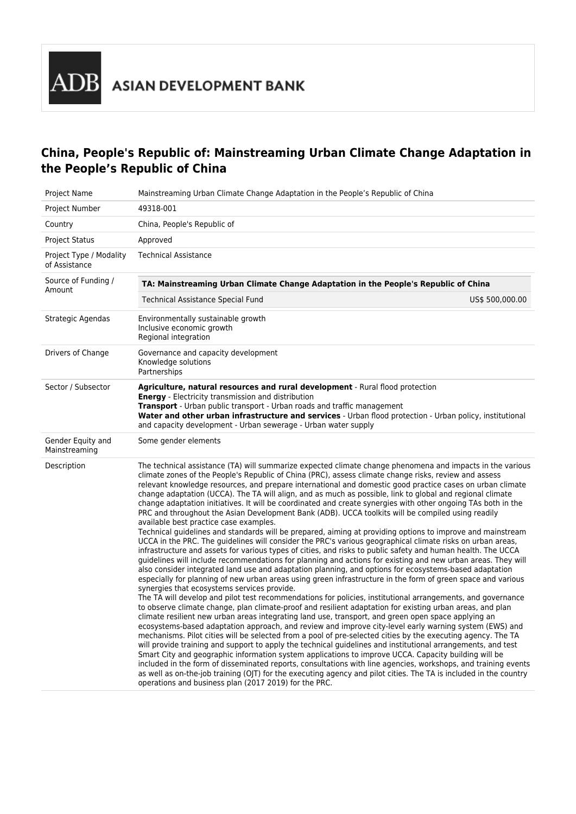## **China, People's Republic of: Mainstreaming Urban Climate Change Adaptation in the People's Republic of China**

| Project Name                             | Mainstreaming Urban Climate Change Adaptation in the People's Republic of China                                                                                                                                                                                                                                                                                                                                                                                                                                                                                                                                                                                                                                                                                                                                                                                                                                                                                                                                                                                                                                                                                                                                                                                                                                                                                                                                                                                                                                                                                                                                                                                                                                                                                                                                                                                                                                                                                                                                                                                                                                                                                                                                                                                                                                                                                                                                                                                                                                                        |  |  |
|------------------------------------------|----------------------------------------------------------------------------------------------------------------------------------------------------------------------------------------------------------------------------------------------------------------------------------------------------------------------------------------------------------------------------------------------------------------------------------------------------------------------------------------------------------------------------------------------------------------------------------------------------------------------------------------------------------------------------------------------------------------------------------------------------------------------------------------------------------------------------------------------------------------------------------------------------------------------------------------------------------------------------------------------------------------------------------------------------------------------------------------------------------------------------------------------------------------------------------------------------------------------------------------------------------------------------------------------------------------------------------------------------------------------------------------------------------------------------------------------------------------------------------------------------------------------------------------------------------------------------------------------------------------------------------------------------------------------------------------------------------------------------------------------------------------------------------------------------------------------------------------------------------------------------------------------------------------------------------------------------------------------------------------------------------------------------------------------------------------------------------------------------------------------------------------------------------------------------------------------------------------------------------------------------------------------------------------------------------------------------------------------------------------------------------------------------------------------------------------------------------------------------------------------------------------------------------------|--|--|
| Project Number                           | 49318-001                                                                                                                                                                                                                                                                                                                                                                                                                                                                                                                                                                                                                                                                                                                                                                                                                                                                                                                                                                                                                                                                                                                                                                                                                                                                                                                                                                                                                                                                                                                                                                                                                                                                                                                                                                                                                                                                                                                                                                                                                                                                                                                                                                                                                                                                                                                                                                                                                                                                                                                              |  |  |
| Country                                  | China, People's Republic of                                                                                                                                                                                                                                                                                                                                                                                                                                                                                                                                                                                                                                                                                                                                                                                                                                                                                                                                                                                                                                                                                                                                                                                                                                                                                                                                                                                                                                                                                                                                                                                                                                                                                                                                                                                                                                                                                                                                                                                                                                                                                                                                                                                                                                                                                                                                                                                                                                                                                                            |  |  |
| <b>Project Status</b>                    | Approved                                                                                                                                                                                                                                                                                                                                                                                                                                                                                                                                                                                                                                                                                                                                                                                                                                                                                                                                                                                                                                                                                                                                                                                                                                                                                                                                                                                                                                                                                                                                                                                                                                                                                                                                                                                                                                                                                                                                                                                                                                                                                                                                                                                                                                                                                                                                                                                                                                                                                                                               |  |  |
| Project Type / Modality<br>of Assistance | Technical Assistance                                                                                                                                                                                                                                                                                                                                                                                                                                                                                                                                                                                                                                                                                                                                                                                                                                                                                                                                                                                                                                                                                                                                                                                                                                                                                                                                                                                                                                                                                                                                                                                                                                                                                                                                                                                                                                                                                                                                                                                                                                                                                                                                                                                                                                                                                                                                                                                                                                                                                                                   |  |  |
| Source of Funding /<br>Amount            | TA: Mainstreaming Urban Climate Change Adaptation in the People's Republic of China                                                                                                                                                                                                                                                                                                                                                                                                                                                                                                                                                                                                                                                                                                                                                                                                                                                                                                                                                                                                                                                                                                                                                                                                                                                                                                                                                                                                                                                                                                                                                                                                                                                                                                                                                                                                                                                                                                                                                                                                                                                                                                                                                                                                                                                                                                                                                                                                                                                    |  |  |
|                                          | <b>Technical Assistance Special Fund</b><br>US\$ 500,000.00                                                                                                                                                                                                                                                                                                                                                                                                                                                                                                                                                                                                                                                                                                                                                                                                                                                                                                                                                                                                                                                                                                                                                                                                                                                                                                                                                                                                                                                                                                                                                                                                                                                                                                                                                                                                                                                                                                                                                                                                                                                                                                                                                                                                                                                                                                                                                                                                                                                                            |  |  |
| Strategic Agendas                        | Environmentally sustainable growth<br>Inclusive economic growth<br>Regional integration                                                                                                                                                                                                                                                                                                                                                                                                                                                                                                                                                                                                                                                                                                                                                                                                                                                                                                                                                                                                                                                                                                                                                                                                                                                                                                                                                                                                                                                                                                                                                                                                                                                                                                                                                                                                                                                                                                                                                                                                                                                                                                                                                                                                                                                                                                                                                                                                                                                |  |  |
| Drivers of Change                        | Governance and capacity development<br>Knowledge solutions<br>Partnerships                                                                                                                                                                                                                                                                                                                                                                                                                                                                                                                                                                                                                                                                                                                                                                                                                                                                                                                                                                                                                                                                                                                                                                                                                                                                                                                                                                                                                                                                                                                                                                                                                                                                                                                                                                                                                                                                                                                                                                                                                                                                                                                                                                                                                                                                                                                                                                                                                                                             |  |  |
| Sector / Subsector                       | Agriculture, natural resources and rural development - Rural flood protection<br><b>Energy</b> - Electricity transmission and distribution<br><b>Transport</b> - Urban public transport - Urban roads and traffic management<br>Water and other urban infrastructure and services - Urban flood protection - Urban policy, institutional<br>and capacity development - Urban sewerage - Urban water supply                                                                                                                                                                                                                                                                                                                                                                                                                                                                                                                                                                                                                                                                                                                                                                                                                                                                                                                                                                                                                                                                                                                                                                                                                                                                                                                                                                                                                                                                                                                                                                                                                                                                                                                                                                                                                                                                                                                                                                                                                                                                                                                             |  |  |
| Gender Equity and<br>Mainstreaming       | Some gender elements                                                                                                                                                                                                                                                                                                                                                                                                                                                                                                                                                                                                                                                                                                                                                                                                                                                                                                                                                                                                                                                                                                                                                                                                                                                                                                                                                                                                                                                                                                                                                                                                                                                                                                                                                                                                                                                                                                                                                                                                                                                                                                                                                                                                                                                                                                                                                                                                                                                                                                                   |  |  |
| Description                              | The technical assistance (TA) will summarize expected climate change phenomena and impacts in the various<br>climate zones of the People's Republic of China (PRC), assess climate change risks, review and assess<br>relevant knowledge resources, and prepare international and domestic good practice cases on urban climate<br>change adaptation (UCCA). The TA will align, and as much as possible, link to global and regional climate<br>change adaptation initiatives. It will be coordinated and create synergies with other ongoing TAs both in the<br>PRC and throughout the Asian Development Bank (ADB). UCCA toolkits will be compiled using readily<br>available best practice case examples.<br>Technical guidelines and standards will be prepared, aiming at providing options to improve and mainstream<br>UCCA in the PRC. The quidelines will consider the PRC's various geographical climate risks on urban areas,<br>infrastructure and assets for various types of cities, and risks to public safety and human health. The UCCA<br>guidelines will include recommendations for planning and actions for existing and new urban areas. They will<br>also consider integrated land use and adaptation planning, and options for ecosystems-based adaptation<br>especially for planning of new urban areas using green infrastructure in the form of green space and various<br>synergies that ecosystems services provide.<br>The TA will develop and pilot test recommendations for policies, institutional arrangements, and governance<br>to observe climate change, plan climate-proof and resilient adaptation for existing urban areas, and plan<br>climate resilient new urban areas integrating land use, transport, and green open space applying an<br>ecosystems-based adaptation approach, and review and improve city-level early warning system (EWS) and<br>mechanisms. Pilot cities will be selected from a pool of pre-selected cities by the executing agency. The TA<br>will provide training and support to apply the technical guidelines and institutional arrangements, and test<br>Smart City and geographic information system applications to improve UCCA. Capacity building will be<br>included in the form of disseminated reports, consultations with line agencies, workshops, and training events<br>as well as on-the-job training (OJT) for the executing agency and pilot cities. The TA is included in the country<br>operations and business plan (2017 2019) for the PRC. |  |  |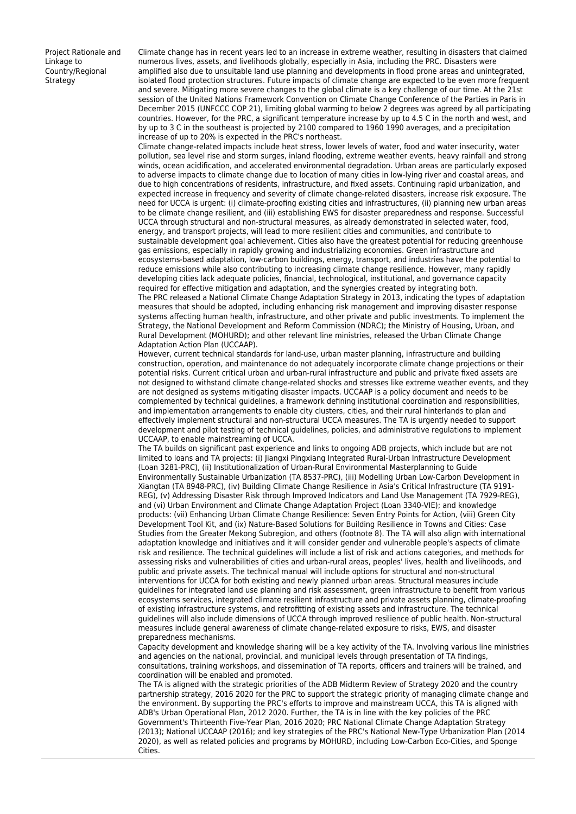Project Rationale and Linkage to Country/Regional Strategy

Climate change has in recent years led to an increase in extreme weather, resulting in disasters that claimed numerous lives, assets, and livelihoods globally, especially in Asia, including the PRC. Disasters were amplified also due to unsuitable land use planning and developments in flood prone areas and unintegrated, isolated flood protection structures. Future impacts of climate change are expected to be even more frequent and severe. Mitigating more severe changes to the global climate is a key challenge of our time. At the 21st session of the United Nations Framework Convention on Climate Change Conference of the Parties in Paris in December 2015 (UNFCCC COP 21), limiting global warming to below 2 degrees was agreed by all participating countries. However, for the PRC, a significant temperature increase by up to 4.5 C in the north and west, and by up to 3 C in the southeast is projected by 2100 compared to 1960 1990 averages, and a precipitation increase of up to 20% is expected in the PRC's northeast.

Climate change-related impacts include heat stress, lower levels of water, food and water insecurity, water pollution, sea level rise and storm surges, inland flooding, extreme weather events, heavy rainfall and strong winds, ocean acidification, and accelerated environmental degradation. Urban areas are particularly exposed to adverse impacts to climate change due to location of many cities in low-lying river and coastal areas, and due to high concentrations of residents, infrastructure, and fixed assets. Continuing rapid urbanization, and expected increase in frequency and severity of climate change-related disasters, increase risk exposure. The need for UCCA is urgent: (i) climate-proofing existing cities and infrastructures, (ii) planning new urban areas to be climate change resilient, and (iii) establishing EWS for disaster preparedness and response. Successful UCCA through structural and non-structural measures, as already demonstrated in selected water, food, energy, and transport projects, will lead to more resilient cities and communities, and contribute to sustainable development goal achievement. Cities also have the greatest potential for reducing greenhouse gas emissions, especially in rapidly growing and industrializing economies. Green infrastructure and ecosystems-based adaptation, low-carbon buildings, energy, transport, and industries have the potential to reduce emissions while also contributing to increasing climate change resilience. However, many rapidly developing cities lack adequate policies, financial, technological, institutional, and governance capacity required for effective mitigation and adaptation, and the synergies created by integrating both. The PRC released a National Climate Change Adaptation Strategy in 2013, indicating the types of adaptation measures that should be adopted, including enhancing risk management and improving disaster response systems affecting human health, infrastructure, and other private and public investments. To implement the Strategy, the National Development and Reform Commission (NDRC); the Ministry of Housing, Urban, and Rural Development (MOHURD); and other relevant line ministries, released the Urban Climate Change Adaptation Action Plan (UCCAAP).

However, current technical standards for land-use, urban master planning, infrastructure and building construction, operation, and maintenance do not adequately incorporate climate change projections or their potential risks. Current critical urban and urban-rural infrastructure and public and private fixed assets are not designed to withstand climate change-related shocks and stresses like extreme weather events, and they are not designed as systems mitigating disaster impacts. UCCAAP is a policy document and needs to be complemented by technical guidelines, a framework defining institutional coordination and responsibilities, and implementation arrangements to enable city clusters, cities, and their rural hinterlands to plan and effectively implement structural and non-structural UCCA measures. The TA is urgently needed to support development and pilot testing of technical guidelines, policies, and administrative regulations to implement UCCAAP, to enable mainstreaming of UCCA.

The TA builds on significant past experience and links to ongoing ADB projects, which include but are not limited to loans and TA projects: (i) Jiangxi Pingxiang Integrated Rural-Urban Infrastructure Development (Loan 3281-PRC), (ii) Institutionalization of Urban-Rural Environmental Masterplanning to Guide Environmentally Sustainable Urbanization (TA 8537-PRC), (iii) Modelling Urban Low-Carbon Development in Xiangtan (TA 8948-PRC), (iv) Building Climate Change Resilience in Asia's Critical Infrastructure (TA 9191- REG), (v) Addressing Disaster Risk through Improved Indicators and Land Use Management (TA 7929-REG), and (vi) Urban Environment and Climate Change Adaptation Project (Loan 3340-VIE); and knowledge products: (vii) Enhancing Urban Climate Change Resilience: Seven Entry Points for Action, (viii) Green City Development Tool Kit, and (ix) Nature-Based Solutions for Building Resilience in Towns and Cities: Case Studies from the Greater Mekong Subregion, and others (footnote 8). The TA will also align with international adaptation knowledge and initiatives and it will consider gender and vulnerable people's aspects of climate risk and resilience. The technical guidelines will include a list of risk and actions categories, and methods for assessing risks and vulnerabilities of cities and urban-rural areas, peoples' lives, health and livelihoods, and public and private assets. The technical manual will include options for structural and non-structural interventions for UCCA for both existing and newly planned urban areas. Structural measures include guidelines for integrated land use planning and risk assessment, green infrastructure to benefit from various ecosystems services, integrated climate resilient infrastructure and private assets planning, climate-proofing of existing infrastructure systems, and retrofitting of existing assets and infrastructure. The technical guidelines will also include dimensions of UCCA through improved resilience of public health. Non-structural measures include general awareness of climate change-related exposure to risks, EWS, and disaster preparedness mechanisms.

Capacity development and knowledge sharing will be a key activity of the TA. Involving various line ministries and agencies on the national, provincial, and municipal levels through presentation of TA findings, consultations, training workshops, and dissemination of TA reports, officers and trainers will be trained, and coordination will be enabled and promoted.

The TA is aligned with the strategic priorities of the ADB Midterm Review of Strategy 2020 and the country partnership strategy, 2016 2020 for the PRC to support the strategic priority of managing climate change and the environment. By supporting the PRC's efforts to improve and mainstream UCCA, this TA is aligned with ADB's Urban Operational Plan, 2012 2020. Further, the TA is in line with the key policies of the PRC Government's Thirteenth Five-Year Plan, 2016 2020; PRC National Climate Change Adaptation Strategy (2013); National UCCAAP (2016); and key strategies of the PRC's National New-Type Urbanization Plan (2014 2020), as well as related policies and programs by MOHURD, including Low-Carbon Eco-Cities, and Sponge Cities.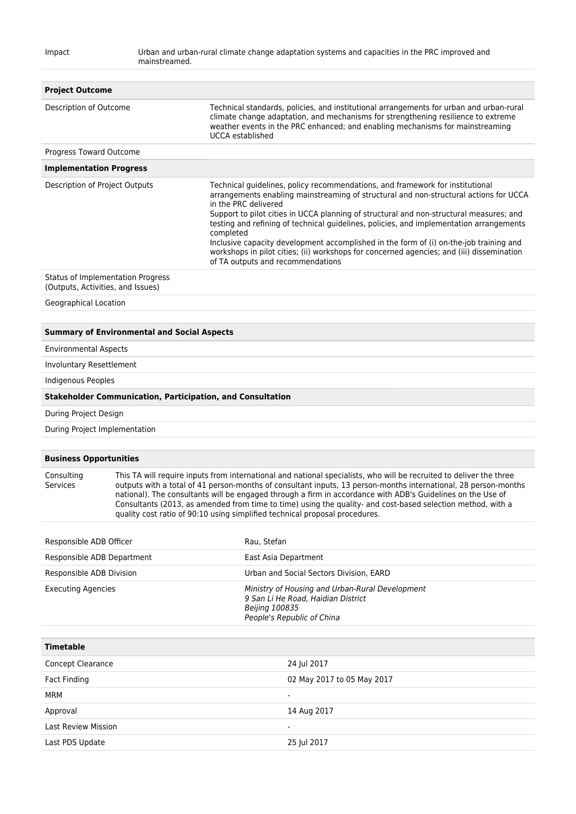| <b>Project Outcome</b>                                                                                                                                                                                                                                                                                                                                                                                                                                                                                                                                                        |                                                                   |                                                                                                                                                                                                                                                                                                                                                                                                                                                                                                                                                                                                                               |
|-------------------------------------------------------------------------------------------------------------------------------------------------------------------------------------------------------------------------------------------------------------------------------------------------------------------------------------------------------------------------------------------------------------------------------------------------------------------------------------------------------------------------------------------------------------------------------|-------------------------------------------------------------------|-------------------------------------------------------------------------------------------------------------------------------------------------------------------------------------------------------------------------------------------------------------------------------------------------------------------------------------------------------------------------------------------------------------------------------------------------------------------------------------------------------------------------------------------------------------------------------------------------------------------------------|
| Description of Outcome                                                                                                                                                                                                                                                                                                                                                                                                                                                                                                                                                        |                                                                   | Technical standards, policies, and institutional arrangements for urban and urban-rural<br>climate change adaptation, and mechanisms for strengthening resilience to extreme<br>weather events in the PRC enhanced; and enabling mechanisms for mainstreaming<br>UCCA established                                                                                                                                                                                                                                                                                                                                             |
| Progress Toward Outcome                                                                                                                                                                                                                                                                                                                                                                                                                                                                                                                                                       |                                                                   |                                                                                                                                                                                                                                                                                                                                                                                                                                                                                                                                                                                                                               |
| <b>Implementation Progress</b>                                                                                                                                                                                                                                                                                                                                                                                                                                                                                                                                                |                                                                   |                                                                                                                                                                                                                                                                                                                                                                                                                                                                                                                                                                                                                               |
| Description of Project Outputs                                                                                                                                                                                                                                                                                                                                                                                                                                                                                                                                                |                                                                   | Technical guidelines, policy recommendations, and framework for institutional<br>arrangements enabling mainstreaming of structural and non-structural actions for UCCA<br>in the PRC delivered<br>Support to pilot cities in UCCA planning of structural and non-structural measures; and<br>testing and refining of technical guidelines, policies, and implementation arrangements<br>completed<br>Inclusive capacity development accomplished in the form of (i) on-the-job training and<br>workshops in pilot cities; (ii) workshops for concerned agencies; and (iii) dissemination<br>of TA outputs and recommendations |
| <b>Status of Implementation Progress</b><br>(Outputs, Activities, and Issues)                                                                                                                                                                                                                                                                                                                                                                                                                                                                                                 |                                                                   |                                                                                                                                                                                                                                                                                                                                                                                                                                                                                                                                                                                                                               |
| Geographical Location                                                                                                                                                                                                                                                                                                                                                                                                                                                                                                                                                         |                                                                   |                                                                                                                                                                                                                                                                                                                                                                                                                                                                                                                                                                                                                               |
|                                                                                                                                                                                                                                                                                                                                                                                                                                                                                                                                                                               |                                                                   |                                                                                                                                                                                                                                                                                                                                                                                                                                                                                                                                                                                                                               |
|                                                                                                                                                                                                                                                                                                                                                                                                                                                                                                                                                                               | <b>Summary of Environmental and Social Aspects</b>                |                                                                                                                                                                                                                                                                                                                                                                                                                                                                                                                                                                                                                               |
| <b>Environmental Aspects</b><br>Involuntary Resettlement                                                                                                                                                                                                                                                                                                                                                                                                                                                                                                                      |                                                                   |                                                                                                                                                                                                                                                                                                                                                                                                                                                                                                                                                                                                                               |
| Indigenous Peoples                                                                                                                                                                                                                                                                                                                                                                                                                                                                                                                                                            |                                                                   |                                                                                                                                                                                                                                                                                                                                                                                                                                                                                                                                                                                                                               |
|                                                                                                                                                                                                                                                                                                                                                                                                                                                                                                                                                                               | <b>Stakeholder Communication, Participation, and Consultation</b> |                                                                                                                                                                                                                                                                                                                                                                                                                                                                                                                                                                                                                               |
|                                                                                                                                                                                                                                                                                                                                                                                                                                                                                                                                                                               |                                                                   |                                                                                                                                                                                                                                                                                                                                                                                                                                                                                                                                                                                                                               |
| During Project Design                                                                                                                                                                                                                                                                                                                                                                                                                                                                                                                                                         |                                                                   |                                                                                                                                                                                                                                                                                                                                                                                                                                                                                                                                                                                                                               |
| During Project Implementation                                                                                                                                                                                                                                                                                                                                                                                                                                                                                                                                                 |                                                                   |                                                                                                                                                                                                                                                                                                                                                                                                                                                                                                                                                                                                                               |
| <b>Business Opportunities</b>                                                                                                                                                                                                                                                                                                                                                                                                                                                                                                                                                 |                                                                   |                                                                                                                                                                                                                                                                                                                                                                                                                                                                                                                                                                                                                               |
| This TA will require inputs from international and national specialists, who will be recruited to deliver the three<br>Consulting<br>Services<br>outputs with a total of 41 person-months of consultant inputs, 13 person-months international, 28 person-months<br>national). The consultants will be engaged through a firm in accordance with ADB's Guidelines on the Use of<br>Consultants (2013, as amended from time to time) using the quality- and cost-based selection method, with a<br>quality cost ratio of 90:10 using simplified technical proposal procedures. |                                                                   |                                                                                                                                                                                                                                                                                                                                                                                                                                                                                                                                                                                                                               |
| Responsible ADB Officer                                                                                                                                                                                                                                                                                                                                                                                                                                                                                                                                                       |                                                                   | Rau, Stefan                                                                                                                                                                                                                                                                                                                                                                                                                                                                                                                                                                                                                   |
| Responsible ADB Department                                                                                                                                                                                                                                                                                                                                                                                                                                                                                                                                                    |                                                                   | East Asia Department                                                                                                                                                                                                                                                                                                                                                                                                                                                                                                                                                                                                          |
| Responsible ADB Division                                                                                                                                                                                                                                                                                                                                                                                                                                                                                                                                                      |                                                                   | Urban and Social Sectors Division, EARD                                                                                                                                                                                                                                                                                                                                                                                                                                                                                                                                                                                       |
| <b>Executing Agencies</b>                                                                                                                                                                                                                                                                                                                                                                                                                                                                                                                                                     |                                                                   | Ministry of Housing and Urban-Rural Development<br>9 San Li He Road, Haidian District<br><b>Beijing 100835</b><br>People's Republic of China                                                                                                                                                                                                                                                                                                                                                                                                                                                                                  |
| <b>Timetable</b>                                                                                                                                                                                                                                                                                                                                                                                                                                                                                                                                                              |                                                                   |                                                                                                                                                                                                                                                                                                                                                                                                                                                                                                                                                                                                                               |
| <b>Concept Clearance</b>                                                                                                                                                                                                                                                                                                                                                                                                                                                                                                                                                      |                                                                   | 24 Jul 2017                                                                                                                                                                                                                                                                                                                                                                                                                                                                                                                                                                                                                   |
| <b>Fact Finding</b>                                                                                                                                                                                                                                                                                                                                                                                                                                                                                                                                                           |                                                                   | 02 May 2017 to 05 May 2017                                                                                                                                                                                                                                                                                                                                                                                                                                                                                                                                                                                                    |
| <b>MRM</b>                                                                                                                                                                                                                                                                                                                                                                                                                                                                                                                                                                    |                                                                   |                                                                                                                                                                                                                                                                                                                                                                                                                                                                                                                                                                                                                               |
| Approval                                                                                                                                                                                                                                                                                                                                                                                                                                                                                                                                                                      |                                                                   | 14 Aug 2017                                                                                                                                                                                                                                                                                                                                                                                                                                                                                                                                                                                                                   |
| Last Review Mission                                                                                                                                                                                                                                                                                                                                                                                                                                                                                                                                                           |                                                                   |                                                                                                                                                                                                                                                                                                                                                                                                                                                                                                                                                                                                                               |

Last PDS Update 25 Jul 2017